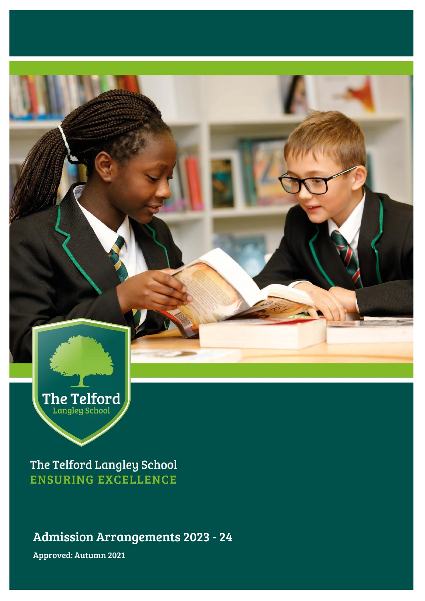

The Telford Langley School **ENSURING EXCELLENCE** 

Admission Arrangements 2023 - 24

Approved: Autumn 2021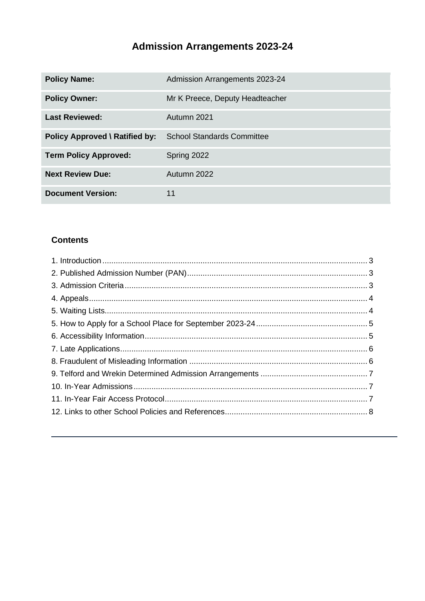# **Admission Arrangements 2023-24**

| <b>Policy Name:</b>                   | Admission Arrangements 2023-24    |
|---------------------------------------|-----------------------------------|
| <b>Policy Owner:</b>                  | Mr K Preece, Deputy Headteacher   |
| <b>Last Reviewed:</b>                 | Autumn 2021                       |
| <b>Policy Approved \ Ratified by:</b> | <b>School Standards Committee</b> |
| <b>Term Policy Approved:</b>          | Spring 2022                       |
| <b>Next Review Due:</b>               | Autumn 2022                       |
| <b>Document Version:</b>              | 11                                |

#### **Contents**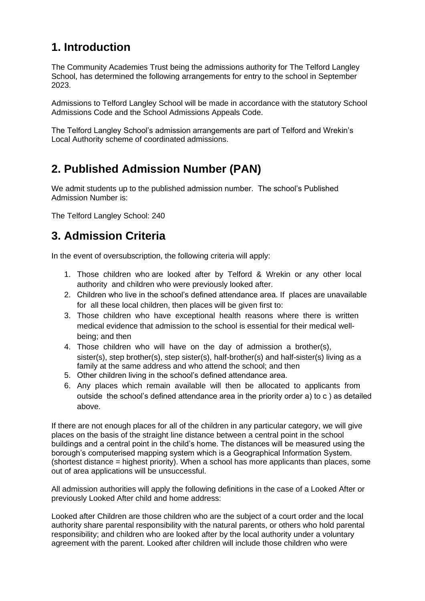## <span id="page-2-0"></span>**1. Introduction**

The Community Academies Trust being the admissions authority for The Telford Langley School, has determined the following arrangements for entry to the school in September 2023.

Admissions to Telford Langley School will be made in accordance with the statutory School Admissions Code and the School Admissions Appeals Code.

The Telford Langley School's admission arrangements are part of Telford and Wrekin's Local Authority scheme of coordinated admissions.

## <span id="page-2-1"></span>**2. Published Admission Number (PAN)**

We admit students up to the published admission number. The school's Published Admission Number is:

The Telford Langley School: 240

## <span id="page-2-2"></span>**3. Admission Criteria**

In the event of oversubscription, the following criteria will apply:

- 1. Those children who are looked after by Telford & Wrekin or any other local authority and children who were previously looked after.
- 2. Children who live in the school's defined attendance area. If places are unavailable for all these local children, then places will be given first to:
- 3. Those children who have exceptional health reasons where there is written medical evidence that admission to the school is essential for their medical wellbeing; and then
- 4. Those children who will have on the day of admission a brother(s), sister(s), step brother(s), step sister(s), half-brother(s) and half-sister(s) living as a family at the same address and who attend the school; and then
- 5. Other children living in the school's defined attendance area.
- 6. Any places which remain available will then be allocated to applicants from outside the school's defined attendance area in the priority order a) to c ) as detailed above.

If there are not enough places for all of the children in any particular category, we will give places on the basis of the straight line distance between a central point in the school buildings and a central point in the child's home. The distances will be measured using the borough's computerised mapping system which is a Geographical Information System. (shortest distance = highest priority). When a school has more applicants than places, some out of area applications will be unsuccessful.

All admission authorities will apply the following definitions in the case of a Looked After or previously Looked After child and home address:

Looked after Children are those children who are the subject of a court order and the local authority share parental responsibility with the natural parents, or others who hold parental responsibility; and children who are looked after by the local authority under a voluntary agreement with the parent. Looked after children will include those children who were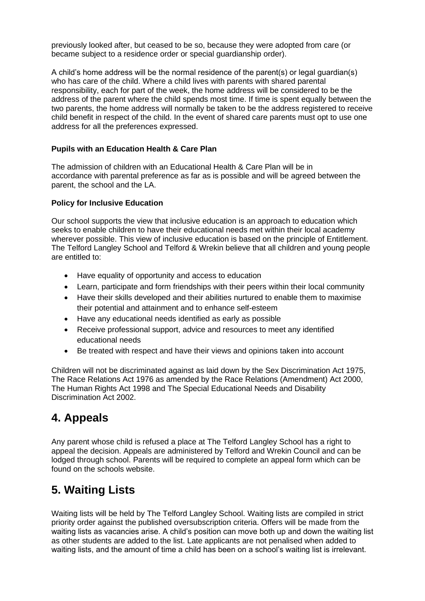previously looked after, but ceased to be so, because they were adopted from care (or became subject to a residence order or special guardianship order).

A child's home address will be the normal residence of the parent(s) or legal guardian(s) who has care of the child. Where a child lives with parents with shared parental responsibility, each for part of the week, the home address will be considered to be the address of the parent where the child spends most time. If time is spent equally between the two parents, the home address will normally be taken to be the address registered to receive child benefit in respect of the child. In the event of shared care parents must opt to use one address for all the preferences expressed.

#### **Pupils with an Education Health & Care Plan**

The admission of children with an Educational Health & Care Plan will be in accordance with parental preference as far as is possible and will be agreed between the parent, the school and the LA.

#### **Policy for Inclusive Education**

Our school supports the view that inclusive education is an approach to education which seeks to enable children to have their educational needs met within their local academy wherever possible. This view of inclusive education is based on the principle of Entitlement. The Telford Langley School and Telford & Wrekin believe that all children and young people are entitled to:

- Have equality of opportunity and access to education
- Learn, participate and form friendships with their peers within their local community
- Have their skills developed and their abilities nurtured to enable them to maximise their potential and attainment and to enhance self-esteem
- Have any educational needs identified as early as possible
- Receive professional support, advice and resources to meet any identified educational needs
- Be treated with respect and have their views and opinions taken into account

Children will not be discriminated against as laid down by the Sex Discrimination Act 1975, The Race Relations Act 1976 as amended by the Race Relations (Amendment) Act 2000, The Human Rights Act 1998 and The Special Educational Needs and Disability Discrimination Act 2002.

### <span id="page-3-0"></span>**4. Appeals**

Any parent whose child is refused a place at The Telford Langley School has a right to appeal the decision. Appeals are administered by Telford and Wrekin Council and can be lodged through school. Parents will be required to complete an appeal form which can be found on the schools website.

## <span id="page-3-1"></span>**5. Waiting Lists**

Waiting lists will be held by The Telford Langley School. Waiting lists are compiled in strict priority order against the published oversubscription criteria. Offers will be made from the waiting lists as vacancies arise. A child's position can move both up and down the waiting list as other students are added to the list. Late applicants are not penalised when added to waiting lists, and the amount of time a child has been on a school's waiting list is irrelevant.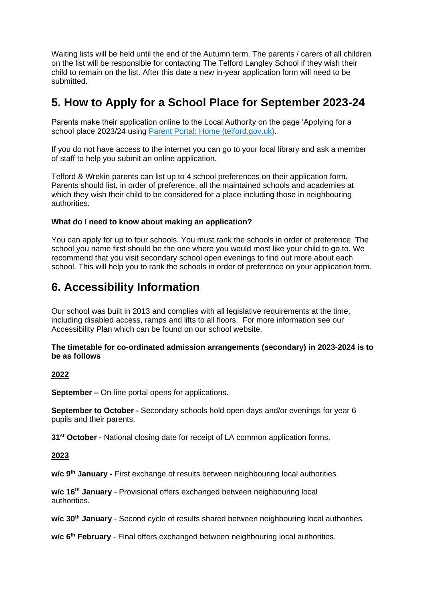Waiting lists will be held until the end of the Autumn term. The parents / carers of all children on the list will be responsible for contacting The Telford Langley School if they wish their child to remain on the list. After this date a new in-year application form will need to be submitted.

## <span id="page-4-0"></span>**5. How to Apply for a School Place for September 2023-24**

Parents make their application online to the Local Authority on the page 'Applying for a school place 2023/24 using [Parent Portal: Home \(telford.gov.uk\).](https://earlyyears.telford.gov.uk/Synergy/Parents/default.aspx)

If you do not have access to the internet you can go to your local library and ask a member of staff to help you submit an online application.

Telford & Wrekin parents can list up to 4 school preferences on their application form. Parents should list, in order of preference, all the maintained schools and academies at which they wish their child to be considered for a place including those in neighbouring authorities.

#### **What do I need to know about making an application?**

You can apply for up to four schools. You must rank the schools in order of preference. The school you name first should be the one where you would most like your child to go to. We recommend that you visit secondary school open evenings to find out more about each school. This will help you to rank the schools in order of preference on your application form.

### <span id="page-4-1"></span>**6. Accessibility Information**

Our school was built in 2013 and complies with all legislative requirements at the time, including disabled access, ramps and lifts to all floors. For more information see our Accessibility Plan which can be found on our school website.

#### **The timetable for co-ordinated admission arrangements (secondary) in 2023-2024 is to be as follows**

#### **2022**

**September –** On-line portal opens for applications.

**September to October -** Secondary schools hold open days and/or evenings for year 6 pupils and their parents.

**31st October -** National closing date for receipt of LA common application forms.

#### **2023**

**w/c 9th January -** First exchange of results between neighbouring local authorities.

**w/c 16th January** - Provisional offers exchanged between neighbouring local authorities.

**w/c 30th January** - Second cycle of results shared between neighbouring local authorities.

**w/c 6th February** - Final offers exchanged between neighbouring local authorities.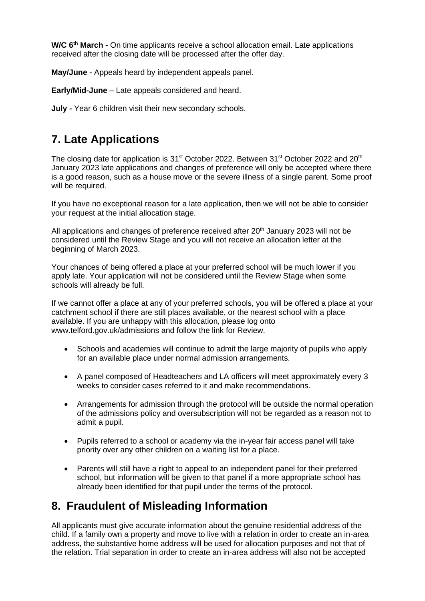**W/C 6th March -** On time applicants receive a school allocation email. Late applications received after the closing date will be processed after the offer day.

**May/June -** Appeals heard by independent appeals panel.

**Early/Mid-June** – Late appeals considered and heard.

**July -** Year 6 children visit their new secondary schools.

## <span id="page-5-0"></span>**7. Late Applications**

The closing date for application is 31<sup>st</sup> October 2022. Between 31<sup>st</sup> October 2022 and 20<sup>th</sup> January 2023 late applications and changes of preference will only be accepted where there is a good reason, such as a house move or the severe illness of a single parent. Some proof will be required.

If you have no exceptional reason for a late application, then we will not be able to consider your request at the initial allocation stage.

All applications and changes of preference received after 20<sup>th</sup> January 2023 will not be considered until the Review Stage and you will not receive an allocation letter at the beginning of March 2023.

Your chances of being offered a place at your preferred school will be much lower if you apply late. Your application will not be considered until the Review Stage when some schools will already be full.

If we cannot offer a place at any of your preferred schools, you will be offered a place at your catchment school if there are still places available, or the nearest school with a place available. If you are unhappy with this allocation, please log onto www.telford.gov.uk/admissions and follow the link for Review.

- Schools and academies will continue to admit the large majority of pupils who apply for an available place under normal admission arrangements.
- A panel composed of Headteachers and LA officers will meet approximately every 3 weeks to consider cases referred to it and make recommendations.
- Arrangements for admission through the protocol will be outside the normal operation of the admissions policy and oversubscription will not be regarded as a reason not to admit a pupil.
- Pupils referred to a school or academy via the in-year fair access panel will take priority over any other children on a waiting list for a place.
- Parents will still have a right to appeal to an independent panel for their preferred school, but information will be given to that panel if a more appropriate school has already been identified for that pupil under the terms of the protocol.

## <span id="page-5-1"></span>**8. Fraudulent of Misleading Information**

All applicants must give accurate information about the genuine residential address of the child. If a family own a property and move to live with a relation in order to create an in-area address, the substantive home address will be used for allocation purposes and not that of the relation. Trial separation in order to create an in-area address will also not be accepted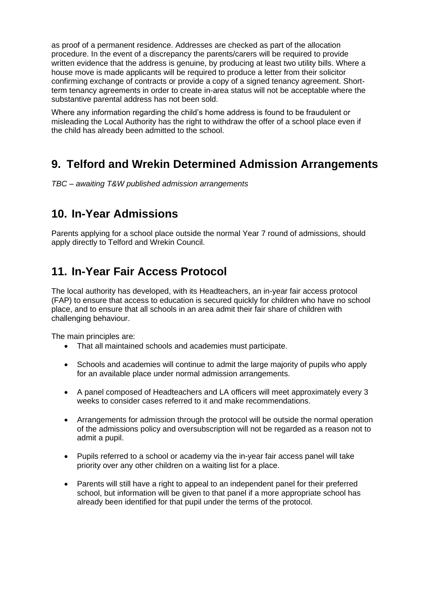as proof of a permanent residence. Addresses are checked as part of the allocation procedure. In the event of a discrepancy the parents/carers will be required to provide written evidence that the address is genuine, by producing at least two utility bills. Where a house move is made applicants will be required to produce a letter from their solicitor confirming exchange of contracts or provide a copy of a signed tenancy agreement. Shortterm tenancy agreements in order to create in-area status will not be acceptable where the substantive parental address has not been sold.

Where any information regarding the child's home address is found to be fraudulent or misleading the Local Authority has the right to withdraw the offer of a school place even if the child has already been admitted to the school.

## <span id="page-6-0"></span>**9. Telford and Wrekin Determined Admission Arrangements**

*TBC – awaiting T&W published admission arrangements*

### <span id="page-6-1"></span>**10. In-Year Admissions**

Parents applying for a school place outside the normal Year 7 round of admissions, should apply directly to Telford and Wrekin Council.

## <span id="page-6-2"></span>**11. In-Year Fair Access Protocol**

The local authority has developed, with its Headteachers, an in-year fair access protocol (FAP) to ensure that access to education is secured quickly for children who have no school place, and to ensure that all schools in an area admit their fair share of children with challenging behaviour.

The main principles are:

- That all maintained schools and academies must participate.
- Schools and academies will continue to admit the large majority of pupils who apply for an available place under normal admission arrangements.
- A panel composed of Headteachers and LA officers will meet approximately every 3 weeks to consider cases referred to it and make recommendations.
- Arrangements for admission through the protocol will be outside the normal operation of the admissions policy and oversubscription will not be regarded as a reason not to admit a pupil.
- Pupils referred to a school or academy via the in-year fair access panel will take priority over any other children on a waiting list for a place.
- Parents will still have a right to appeal to an independent panel for their preferred school, but information will be given to that panel if a more appropriate school has already been identified for that pupil under the terms of the protocol.